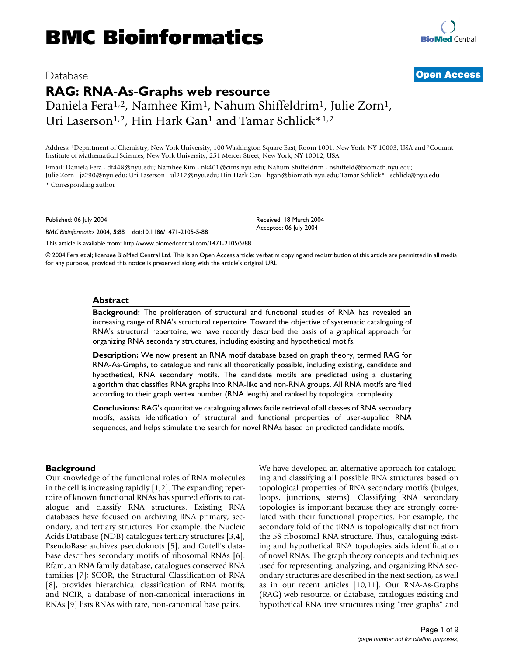**[BioMed](http://www.biomedcentral.com/)** Central

# Database **[Open Access](http://www.biomedcentral.com/info/about/charter/)**

Daniela Fera<sup>1,2</sup>, Namhee Kim<sup>1</sup>, Nahum Shiffeldrim<sup>1</sup>, Julie Zorn<sup>1</sup>, Uri Laserson<sup>1,2</sup>, Hin Hark Gan<sup>1</sup> and Tamar Schlick\*<sup>1,2</sup>

Address: 1Department of Chemistry, New York University, 100 Washington Square East, Room 1001, New York, NY 10003, USA and 2Courant Institute of Mathematical Sciences, New York University, 251 Mercer Street, New York, NY 10012, USA

Email: Daniela Fera - df448@nyu.edu; Namhee Kim - nk401@cims.nyu.edu; Nahum Shiffeldrim - nshiffeld@biomath.nyu.edu; Julie Zorn - jz290@nyu.edu; Uri Laserson - ul212@nyu.edu; Hin Hark Gan - hgan@biomath.nyu.edu; Tamar Schlick\* - schlick@nyu.edu \* Corresponding author

Published: 06 July 2004

*BMC Bioinformatics* 2004, **5**:88 doi:10.1186/1471-2105-5-88

[This article is available from: http://www.biomedcentral.com/1471-2105/5/88](http://www.biomedcentral.com/1471-2105/5/88)

© 2004 Fera et al; licensee BioMed Central Ltd. This is an Open Access article: verbatim copying and redistribution of this article are permitted in all media for any purpose, provided this notice is preserved along with the article's original URL.

Received: 18 March 2004 Accepted: 06 July 2004

#### **Abstract**

**Background:** The proliferation of structural and functional studies of RNA has revealed an increasing range of RNA's structural repertoire. Toward the objective of systematic cataloguing of RNA's structural repertoire, we have recently described the basis of a graphical approach for organizing RNA secondary structures, including existing and hypothetical motifs.

**Description:** We now present an RNA motif database based on graph theory, termed RAG for RNA-As-Graphs, to catalogue and rank all theoretically possible, including existing, candidate and hypothetical, RNA secondary motifs. The candidate motifs are predicted using a clustering algorithm that classifies RNA graphs into RNA-like and non-RNA groups. All RNA motifs are filed according to their graph vertex number (RNA length) and ranked by topological complexity.

**Conclusions:** RAG's quantitative cataloguing allows facile retrieval of all classes of RNA secondary motifs, assists identification of structural and functional properties of user-supplied RNA sequences, and helps stimulate the search for novel RNAs based on predicted candidate motifs.

#### **Background**

Our knowledge of the functional roles of RNA molecules in the cell is increasing rapidly [1,2]. The expanding repertoire of known functional RNAs has spurred efforts to catalogue and classify RNA structures. Existing RNA databases have focused on archiving RNA primary, secondary, and tertiary structures. For example, the Nucleic Acids Database (NDB) catalogues tertiary structures [3,4], PseudoBase archives pseudoknots [5], and Gutell's database describes secondary motifs of ribosomal RNAs [6]. Rfam, an RNA family database, catalogues conserved RNA families [7]; SCOR, the Structural Classification of RNA [8], provides hierarchical classification of RNA motifs; and NCIR, a database of non-canonical interactions in RNAs [9] lists RNAs with rare, non-canonical base pairs.

We have developed an alternative approach for cataloguing and classifying all possible RNA structures based on topological properties of RNA secondary motifs (bulges, loops, junctions, stems). Classifying RNA secondary topologies is important because they are strongly correlated with their functional properties. For example, the secondary fold of the tRNA is topologically distinct from the 5S ribosomal RNA structure. Thus, cataloguing existing and hypothetical RNA topologies aids identification of novel RNAs. The graph theory concepts and techniques used for representing, analyzing, and organizing RNA secondary structures are described in the next section, as well as in our recent articles [10,11]. Our RNA-As-Graphs (RAG) web resource, or database, catalogues existing and hypothetical RNA tree structures using "tree graphs" and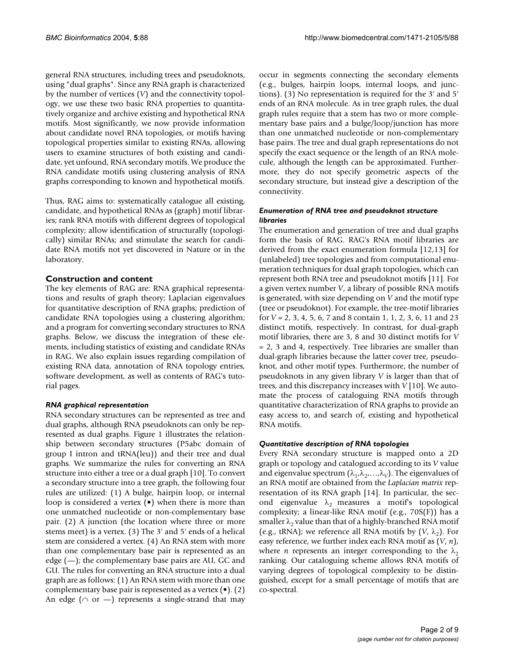general RNA structures, including trees and pseudoknots, using "dual graphs". Since any RNA graph is characterized by the number of vertices (*V*) and the connectivity topology, we use these two basic RNA properties to quantitatively organize and archive existing and hypothetical RNA motifs. Most significantly, we now provide information about candidate novel RNA topologies, or motifs having topological properties similar to existing RNAs, allowing users to examine structures of both existing and candidate, yet unfound, RNA secondary motifs. We produce the RNA candidate motifs using clustering analysis of RNA graphs corresponding to known and hypothetical motifs.

Thus, RAG aims to: systematically catalogue all existing, candidate, and hypothetical RNAs as (graph) motif libraries; rank RNA motifs with different degrees of topological complexity; allow identification of structurally (topologically) similar RNAs; and stimulate the search for candidate RNA motifs not yet discovered in Nature or in the laboratory.

# **Construction and content**

The key elements of RAG are: RNA graphical representations and results of graph theory; Laplacian eigenvalues for quantitative description of RNA graphs; prediction of candidate RNA topologies using a clustering algorithm; and a program for converting secondary structures to RNA graphs. Below, we discuss the integration of these elements, including statistics of existing and candidate RNAs in RAG. We also explain issues regarding compilation of existing RNA data, annotation of RNA topology entries, software development, as well as contents of RAG's tutorial pages.

#### *RNA graphical representation*

RNA secondary structures can be represented as tree and dual graphs, although RNA pseudoknots can only be represented as dual graphs. Figure [1](#page-2-0) illustrates the relationship between secondary structures (P5abc domain of group I intron and tRNA(leu)) and their tree and dual graphs. We summarize the rules for converting an RNA structure into either a tree or a dual graph [10]. To convert a secondary structure into a tree graph, the following four rules are utilized: (1) A bulge, hairpin loop, or internal loop is considered a vertex  $(\bullet)$  when there is more than one unmatched nucleotide or non-complementary base pair. (2) A junction (the location where three or more stems meet) is a vertex. (3) The 3' and 5' ends of a helical stem are considered a vertex. (4) An RNA stem with more than one complementary base pair is represented as an edge  $(-)$ ; the complementary base pairs are AU, GC and GU. The rules for converting an RNA structure into a dual graph are as follows: (1) An RNA stem with more than one complementary base pair is represented as a vertex  $(•)$ . (2) An edge ( $\cap$  or  $-$ ) represents a single-strand that may

occur in segments connecting the secondary elements (e.g., bulges, hairpin loops, internal loops, and junctions). (3) No representation is required for the 3' and 5' ends of an RNA molecule. As in tree graph rules, the dual graph rules require that a stem has two or more complementary base pairs and a bulge/loop/junction has more than one unmatched nucleotide or non-complementary base pairs. The tree and dual graph representations do not specify the exact sequence or the length of an RNA molecule, although the length can be approximated. Furthermore, they do not specify geometric aspects of the secondary structure, but instead give a description of the connectivity.

#### *Enumeration of RNA tree and pseudoknot structure libraries*

The enumeration and generation of tree and dual graphs form the basis of RAG. RAG's RNA motif libraries are derived from the exact enumeration formula [12,13] for (unlabeled) tree topologies and from computational enumeration techniques for dual graph topologies, which can represent both RNA tree and pseudoknot motifs [11]. For a given vertex number *V*, a library of possible RNA motifs is generated, with size depending on *V* and the motif type (tree or pseudoknot). For example, the tree-motif libraries for *V* = 2, 3, 4, 5, 6, 7 and 8 contain 1, 1, 2, 3, 6, 11 and 23 distinct motifs, respectively. In contrast, for dual-graph motif libraries, there are 3, 8 and 30 distinct motifs for *V* = 2, 3 and 4, respectively. Tree libraries are smaller than dual-graph libraries because the latter cover tree, pseudoknot, and other motif types. Furthermore, the number of pseudoknots in any given library *V* is larger than that of trees, and this discrepancy increases with *V* [10]. We automate the process of cataloguing RNA motifs through quantitative characterization of RNA graphs to provide an easy access to, and search of, existing and hypothetical RNA motifs.

#### *Quantitative description of RNA topologies*

Every RNA secondary structure is mapped onto a 2D graph or topology and catalogued according to its *V* value and eigenvalue spectrum  $(\lambda_1, \lambda_2, ..., \lambda_V)$ . The eigenvalues of an RNA motif are obtained from the *Laplacian matrix* representation of its RNA graph [14]. In particular, the second eigenvalue  $\lambda_2$  measures a motif's topological complexity; a linear-like RNA motif (e.g., 70S(F)) has a smaller  $\lambda_2$  value than that of a highly-branched RNA motif (e.g., tRNA); we reference all RNA motifs by  $(V, \lambda_2)$ . For easy reference, we further index each RNA motif as (*V*, *n*), where *n* represents an integer corresponding to the  $\lambda_2$ ranking. Our cataloguing scheme allows RNA motifs of varying degrees of topological complexity to be distinguished, except for a small percentage of motifs that are co-spectral.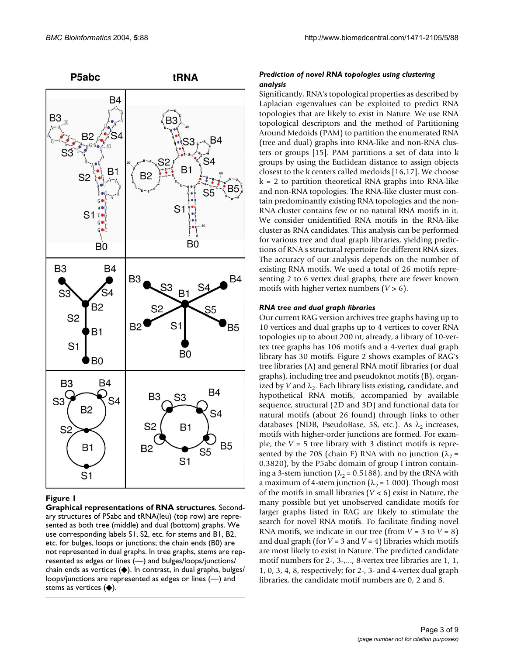<span id="page-2-0"></span>

**Graphical representations of RNA structures**. Secondary structures of P5abc and tRNA(leu) (top row) are represented as both tree (middle) and dual (bottom) graphs. We use corresponding labels S1, S2, etc. for stems and B1, B2, etc. for bulges, loops or junctions; the chain ends (B0) are not represented in dual graphs. In tree graphs, stems are represented as edges or lines (—) and bulges/loops/junctions/ chain ends as vertices (◆). In contrast, in dual graphs, bulges/ loops/junctions are represented as edges or lines (—) and stems as vertices (◆).

#### *Prediction of novel RNA topologies using clustering analysis*

Significantly, RNA's topological properties as described by Laplacian eigenvalues can be exploited to predict RNA topologies that are likely to exist in Nature. We use RNA topological descriptors and the method of Partitioning Around Medoids (PAM) to partition the enumerated RNA (tree and dual) graphs into RNA-like and non-RNA clusters or groups [15]. PAM partitions a set of data into k groups by using the Euclidean distance to assign objects closest to the k centers called medoids [16,17]. We choose  $k = 2$  to partition theoretical RNA graphs into RNA-like and non-RNA topologies. The RNA-like cluster must contain predominantly existing RNA topologies and the non-RNA cluster contains few or no natural RNA motifs in it. We consider unidentified RNA motifs in the RNA-like cluster as RNA candidates. This analysis can be performed for various tree and dual graph libraries, yielding predictions of RNA's structural repertoire for different RNA sizes. The accuracy of our analysis depends on the number of existing RNA motifs. We used a total of 26 motifs representing 2 to 6 vertex dual graphs; there are fewer known motifs with higher vertex numbers (*V* > 6).

#### *RNA tree and dual graph libraries*

Our current RAG version archives tree graphs having up to 10 vertices and dual graphs up to 4 vertices to cover RNA topologies up to about 200 nt; already, a library of 10-vertex tree graphs has 106 motifs and a 4-vertex dual graph library has 30 motifs. Figure 2 shows examples of RAG's tree libraries (A) and general RNA motif libraries (or dual graphs), including tree and pseudoknot motifs (B), organized by *V* and  $\lambda_2$ . Each library lists existing, candidate, and hypothetical RNA motifs, accompanied by available sequence, structural (2D and 3D) and functional data for natural motifs (about 26 found) through links to other databases (NDB, PseudoBase, 5S, etc.). As  $\lambda_2$  increases, motifs with higher-order junctions are formed. For example, the  $V = 5$  tree library with 3 distinct motifs is represented by the 70S (chain F) RNA with no junction ( $\lambda_2$  = 0.3820), by the P5abc domain of group I intron containing a 3-stem junction ( $\lambda_2$  = 0.5188), and by the tRNA with a maximum of 4-stem junction ( $\lambda_2$  = 1.000). Though most of the motifs in small libraries (*V* < 6) exist in Nature, the many possible but yet unobserved candidate motifs for larger graphs listed in RAG are likely to stimulate the search for novel RNA motifs. To facilitate finding novel RNA motifs, we indicate in our tree (from  $V = 3$  to  $V = 8$ ) and dual graph (for  $V = 3$  and  $V = 4$ ) libraries which motifs are most likely to exist in Nature. The predicted candidate motif numbers for 2-, 3-,..., 8-vertex tree libraries are 1, 1, 1, 0, 3, 4, 8, respectively; for 2-, 3- and 4-vertex dual graph libraries, the candidate motif numbers are 0, 2 and 8.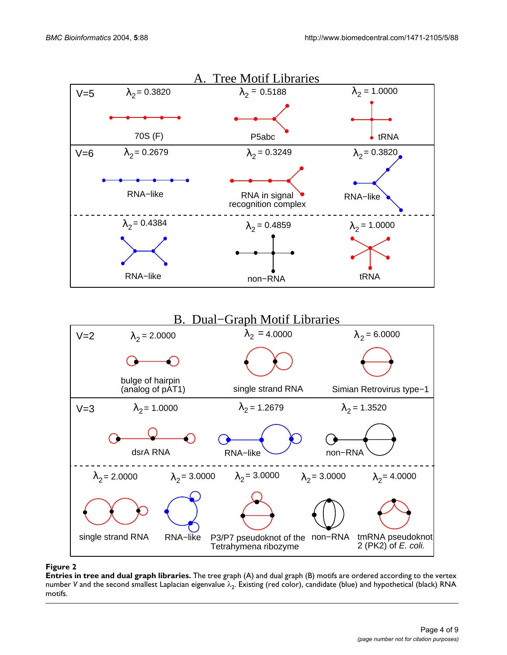



**Entries in tree and dual graph libraries.** The tree graph (A) and dual graph (B) motifs are ordered according to the vertex number *V* and the second smallest Laplacian eigenvalue λ<sub>2</sub>. Existing (red color), candidate (blue) and hypothetical (black) RNA motifs.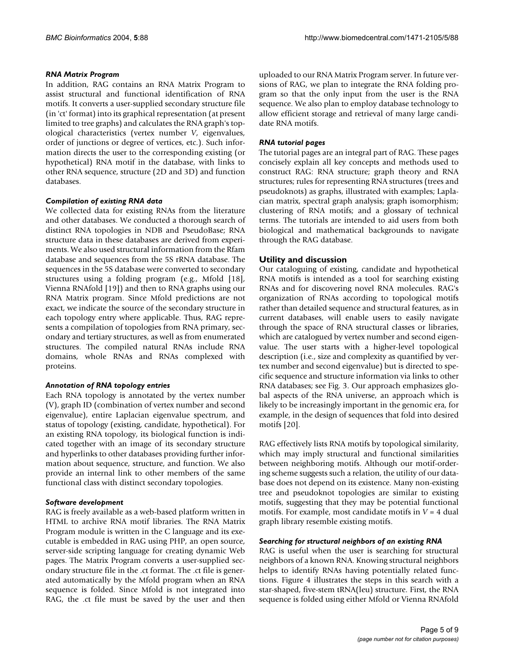#### *RNA Matrix Program*

In addition, RAG contains an RNA Matrix Program to assist structural and functional identification of RNA motifs. It converts a user-supplied secondary structure file (in 'ct' format) into its graphical representation (at present limited to tree graphs) and calculates the RNA graph's topological characteristics (vertex number *V*, eigenvalues, order of junctions or degree of vertices, etc.). Such information directs the user to the corresponding existing (or hypothetical) RNA motif in the database, with links to other RNA sequence, structure (2D and 3D) and function databases.

#### *Compilation of existing RNA data*

We collected data for existing RNAs from the literature and other databases. We conducted a thorough search of distinct RNA topologies in NDB and PseudoBase; RNA structure data in these databases are derived from experiments. We also used structural information from the Rfam database and sequences from the 5S rRNA database. The sequences in the 5S database were converted to secondary structures using a folding program (e.g., Mfold [18], Vienna RNAfold [19]) and then to RNA graphs using our RNA Matrix program. Since Mfold predictions are not exact, we indicate the source of the secondary structure in each topology entry where applicable. Thus, RAG represents a compilation of topologies from RNA primary, secondary and tertiary structures, as well as from enumerated structures. The compiled natural RNAs include RNA domains, whole RNAs and RNAs complexed with proteins.

# *Annotation of RNA topology entries*

Each RNA topology is annotated by the vertex number (V), graph ID (combination of vertex number and second eigenvalue), entire Laplacian eigenvalue spectrum, and status of topology (existing, candidate, hypothetical). For an existing RNA topology, its biological function is indicated together with an image of its secondary structure and hyperlinks to other databases providing further information about sequence, structure, and function. We also provide an internal link to other members of the same functional class with distinct secondary topologies.

# *Software development*

RAG is freely available as a web-based platform written in HTML to archive RNA motif libraries. The RNA Matrix Program module is written in the C language and its executable is embedded in RAG using PHP, an open source, server-side scripting language for creating dynamic Web pages. The Matrix Program converts a user-supplied secondary structure file in the .ct format. The .ct file is generated automatically by the Mfold program when an RNA sequence is folded. Since Mfold is not integrated into RAG, the .ct file must be saved by the user and then uploaded to our RNA Matrix Program server. In future versions of RAG, we plan to integrate the RNA folding program so that the only input from the user is the RNA sequence. We also plan to employ database technology to allow efficient storage and retrieval of many large candidate RNA motifs.

#### *RNA tutorial pages*

The tutorial pages are an integral part of RAG. These pages concisely explain all key concepts and methods used to construct RAG: RNA structure; graph theory and RNA structures; rules for representing RNA structures (trees and pseudoknots) as graphs, illustrated with examples; Laplacian matrix, spectral graph analysis; graph isomorphism; clustering of RNA motifs; and a glossary of technical terms. The tutorials are intended to aid users from both biological and mathematical backgrounds to navigate through the RAG database.

# **Utility and discussion**

Our cataloguing of existing, candidate and hypothetical RNA motifs is intended as a tool for searching existing RNAs and for discovering novel RNA molecules. RAG's organization of RNAs according to topological motifs rather than detailed sequence and structural features, as in current databases, will enable users to easily navigate through the space of RNA structural classes or libraries, which are catalogued by vertex number and second eigenvalue. The user starts with a higher-level topological description (i.e., size and complexity as quantified by vertex number and second eigenvalue) but is directed to specific sequence and structure information via links to other RNA databases; see Fig. [3.](#page-5-0) Our approach emphasizes global aspects of the RNA universe, an approach which is likely to be increasingly important in the genomic era, for example, in the design of sequences that fold into desired motifs [20].

RAG effectively lists RNA motifs by topological similarity, which may imply structural and functional similarities between neighboring motifs. Although our motif-ordering scheme suggests such a relation, the utility of our database does not depend on its existence. Many non-existing tree and pseudoknot topologies are similar to existing motifs, suggesting that they may be potential functional motifs. For example, most candidate motifs in *V* = 4 dual graph library resemble existing motifs.

#### *Searching for structural neighbors of an existing RNA*

RAG is useful when the user is searching for structural neighbors of a known RNA. Knowing structural neighbors helps to identify RNAs having potentially related functions. Figure 4 illustrates the steps in this search with a star-shaped, five-stem tRNA(leu) structure. First, the RNA sequence is folded using either Mfold or Vienna RNAfold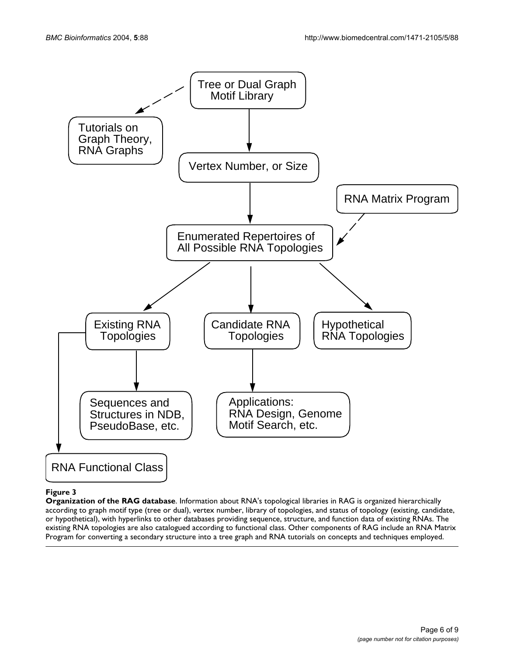<span id="page-5-0"></span>

**Organization of the RAG database**. Information about RNA's topological libraries in RAG is organized hierarchically according to graph motif type (tree or dual), vertex number, library of topologies, and status of topology (existing, candidate, or hypothetical), with hyperlinks to other databases providing sequence, structure, and function data of existing RNAs. The existing RNA topologies are also catalogued according to functional class. Other components of RAG include an RNA Matrix Program for converting a secondary structure into a tree graph and RNA tutorials on concepts and techniques employed.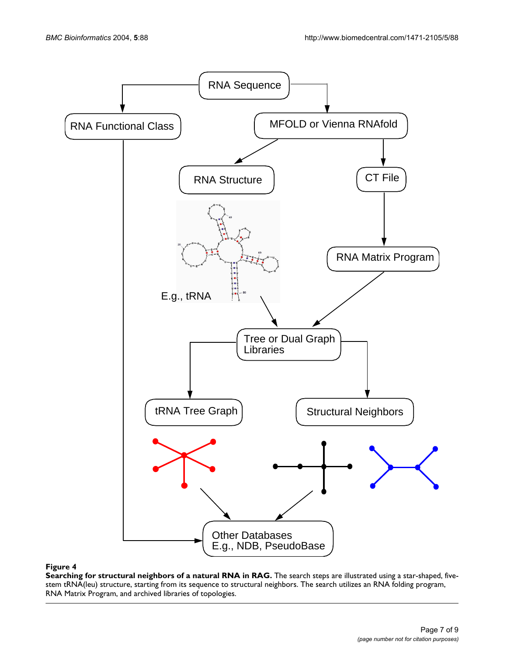

**Searching for structural neighbors of a natural RNA in RAG.** The search steps are illustrated using a star-shaped, fivestem tRNA(leu) structure, starting from its sequence to structural neighbors. The search utilizes an RNA folding program, RNA Matrix Program, and archived libraries of topologies.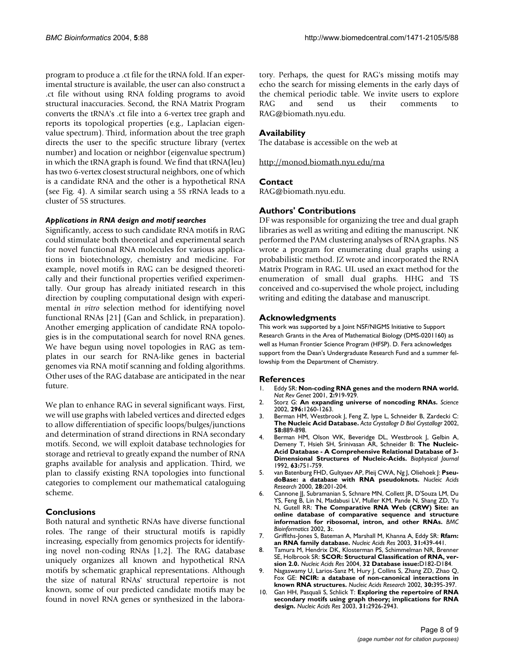program to produce a .ct file for the tRNA fold. If an experimental structure is available, the user can also construct a .ct file without using RNA folding programs to avoid structural inaccuracies. Second, the RNA Matrix Program converts the tRNA's .ct file into a 6-vertex tree graph and reports its topological properties (e.g., Laplacian eigenvalue spectrum). Third, information about the tree graph directs the user to the specific structure library (vertex number) and location or neighbor (eigenvalue spectrum) in which the tRNA graph is found. We find that tRNA(leu) has two 6-vertex closest structural neighbors, one of which is a candidate RNA and the other is a hypothetical RNA (see Fig. 4). A similar search using a 5S rRNA leads to a cluster of 5S structures.

#### *Applications in RNA design and motif searches*

Significantly, access to such candidate RNA motifs in RAG could stimulate both theoretical and experimental search for novel functional RNA molecules for various applications in biotechnology, chemistry and medicine. For example, novel motifs in RAG can be designed theoretically and their functional properties verified experimentally. Our group has already initiated research in this direction by coupling computational design with experimental *in vitro* selection method for identifying novel functional RNAs [21] (Gan and Schlick, in preparation). Another emerging application of candidate RNA topologies is in the computational search for novel RNA genes. We have begun using novel topologies in RAG as templates in our search for RNA-like genes in bacterial genomes via RNA motif scanning and folding algorithms. Other uses of the RAG database are anticipated in the near future.

We plan to enhance RAG in several significant ways. First, we will use graphs with labeled vertices and directed edges to allow differentiation of specific loops/bulges/junctions and determination of strand directions in RNA secondary motifs. Second, we will exploit database technologies for storage and retrieval to greatly expand the number of RNA graphs available for analysis and application. Third, we plan to classify existing RNA topologies into functional categories to complement our mathematical cataloguing scheme.

#### **Conclusions**

Both natural and synthetic RNAs have diverse functional roles. The range of their structural motifs is rapidly increasing, especially from genomics projects for identifying novel non-coding RNAs [1,2]. The RAG database uniquely organizes all known and hypothetical RNA motifs by schematic graphical representations. Although the size of natural RNAs' structural repertoire is not known, some of our predicted candidate motifs may be found in novel RNA genes or synthesized in the laboratory. Perhaps, the quest for RAG's missing motifs may echo the search for missing elements in the early days of the chemical periodic table. We invite users to explore RAG and send us their comments to RAG@biomath.nyu.edu.

#### **Availability**

The database is accessible on the web at

http://monod.biomath.nyu.edu/rna

#### **Contact**

RAG@biomath.nyu.edu.

#### **Authors' Contributions**

DF was responsible for organizing the tree and dual graph libraries as well as writing and editing the manuscript. NK performed the PAM clustering analyses of RNA graphs. NS wrote a program for enumerating dual graphs using a probabilistic method. JZ wrote and incorporated the RNA Matrix Program in RAG. UL used an exact method for the enumeration of small dual graphs. HHG and TS conceived and co-supervised the whole project, including writing and editing the database and manuscript.

#### **Acknowledgments**

This work was supported by a Joint NSF/NIGMS Initiative to Support Research Grants in the Area of Mathematical Biology (DMS-0201160) as well as Human Frontier Science Program (HFSP). D. Fera acknowledges support from the Dean's Undergraduate Research Fund and a summer fellowship from the Department of Chemistry.

#### **References**

- 1. Eddy SR: **[Non-coding RNA genes and the modern RNA world](http://www.ncbi.nlm.nih.gov/entrez/query.fcgi?cmd=Retrieve&db=PubMed&dopt=Abstract&list_uids=10.1038/35103511)[.](http://www.ncbi.nlm.nih.gov/entrez/query.fcgi?cmd=Retrieve&db=PubMed&dopt=Abstract&list_uids=11733745)** *Nat Rev Genet* 2001, **2:**919-929.
- 2. Storz G: **[An expanding universe of noncoding RNAs.](http://www.ncbi.nlm.nih.gov/entrez/query.fcgi?cmd=Retrieve&db=PubMed&dopt=Abstract&list_uids=10.1126/science.1072249)** *Science* 2002, **296:**1260-1263.
- 3. Berman HM, Westbrook J, Feng Z, Iype L, Schneider B, Zardecki C: **[The Nucleic Acid Database](http://www.ncbi.nlm.nih.gov/entrez/query.fcgi?cmd=Retrieve&db=PubMed&dopt=Abstract&list_uids=10.1107/S0907444902003487)[.](http://www.ncbi.nlm.nih.gov/entrez/query.fcgi?cmd=Retrieve&db=PubMed&dopt=Abstract&list_uids=12037326)** *Acta Crystallogr D Biol Crystallogr* 2002, **58:**889-898.
- 4. Berman HM, Olson WK, Beveridge DL, Westbrook J, Gelbin A, Demeny T, Hsieh SH, Srinivasan AR, Schneider B: **[The Nucleic-](http://www.ncbi.nlm.nih.gov/entrez/query.fcgi?cmd=Retrieve&db=PubMed&dopt=Abstract&list_uids=1384741)[Acid Database - A Comprehensive Relational Database of 3-](http://www.ncbi.nlm.nih.gov/entrez/query.fcgi?cmd=Retrieve&db=PubMed&dopt=Abstract&list_uids=1384741) [Dimensional Structures of Nucleic-Acids.](http://www.ncbi.nlm.nih.gov/entrez/query.fcgi?cmd=Retrieve&db=PubMed&dopt=Abstract&list_uids=1384741)** *Biophysical Journal* 1992, **63:**751-759.
- 5. van Batenburg FHD, Gultyaev AP, Pleij CWA, Ng J, Oliehoek J: **[Pseu](http://www.ncbi.nlm.nih.gov/entrez/query.fcgi?cmd=Retrieve&db=PubMed&dopt=Abstract&list_uids=10.1093/nar/28.1.201)[doBase: a database with RNA pseudoknots](http://www.ncbi.nlm.nih.gov/entrez/query.fcgi?cmd=Retrieve&db=PubMed&dopt=Abstract&list_uids=10.1093/nar/28.1.201)[.](http://www.ncbi.nlm.nih.gov/entrez/query.fcgi?cmd=Retrieve&db=PubMed&dopt=Abstract&list_uids=10592225)** *Nucleic Acids Research* 2000, **28:**201-204.
- 6. Cannone JJ, Subramanian S, Schnare MN, Collett JR, D'Souza LM, Du YS, Feng B, Lin N, Madabusi LV, Muller KM, Pande N, Shang ZD, Yu N, Gutell RR: **The Comparative RNA Web (CRW) Site: an online database of comparative sequence and structure information for ribosomal, intron, and other RNAs.** *BMC Bioinformatics* 2002, **3:**.
- 7. Griffiths-Jones S, Bateman A, Marshall M, Khanna A, Eddy SR: **[Rfam:](http://www.ncbi.nlm.nih.gov/entrez/query.fcgi?cmd=Retrieve&db=PubMed&dopt=Abstract&list_uids=10.1093/nar/gkg006) [an RNA family database](http://www.ncbi.nlm.nih.gov/entrez/query.fcgi?cmd=Retrieve&db=PubMed&dopt=Abstract&list_uids=10.1093/nar/gkg006)[.](http://www.ncbi.nlm.nih.gov/entrez/query.fcgi?cmd=Retrieve&db=PubMed&dopt=Abstract&list_uids=12520045)** *Nucleic Acids Res* 2003, **31:**439-441.
- 8. Tamura M, Hendrix DK, Klosterman PS, Schimmelman NR, Brenner SE, Holbrook SR: **[SCOR: Structural Classification of RNA, ver](http://www.ncbi.nlm.nih.gov/entrez/query.fcgi?cmd=Retrieve&db=PubMed&dopt=Abstract&list_uids=10.1093/nar/gkh080)[sion 2.0](http://www.ncbi.nlm.nih.gov/entrez/query.fcgi?cmd=Retrieve&db=PubMed&dopt=Abstract&list_uids=10.1093/nar/gkh080)[.](http://www.ncbi.nlm.nih.gov/entrez/query.fcgi?cmd=Retrieve&db=PubMed&dopt=Abstract&list_uids=14681389)** *Nucleic Acids Res* 2004, **32 Database issue:**D182-D184.
- 9. Nagaswamy U, Larios-Sanz M, Hury J, Collins S, Zhang ZD, Zhao Q, Fox GE: **[NCIR: a database of non-canonical interactions in](http://www.ncbi.nlm.nih.gov/entrez/query.fcgi?cmd=Retrieve&db=PubMed&dopt=Abstract&list_uids=10.1093/nar/30.1.395) [known RNA structures](http://www.ncbi.nlm.nih.gov/entrez/query.fcgi?cmd=Retrieve&db=PubMed&dopt=Abstract&list_uids=10.1093/nar/30.1.395)[.](http://www.ncbi.nlm.nih.gov/entrez/query.fcgi?cmd=Retrieve&db=PubMed&dopt=Abstract&list_uids=11752347)** *Nucleic Acids Research* 2002, **30:**395-397.
- 10. Gan HH, Pasquali S, Schlick T: **[Exploring the repertoire of RNA](http://www.ncbi.nlm.nih.gov/entrez/query.fcgi?cmd=Retrieve&db=PubMed&dopt=Abstract&list_uids=10.1093/nar/gkg365) [secondary motifs using graph theory; implications for RNA](http://www.ncbi.nlm.nih.gov/entrez/query.fcgi?cmd=Retrieve&db=PubMed&dopt=Abstract&list_uids=10.1093/nar/gkg365) [design](http://www.ncbi.nlm.nih.gov/entrez/query.fcgi?cmd=Retrieve&db=PubMed&dopt=Abstract&list_uids=10.1093/nar/gkg365)[.](http://www.ncbi.nlm.nih.gov/entrez/query.fcgi?cmd=Retrieve&db=PubMed&dopt=Abstract&list_uids=12771219)** *Nucleic Acids Res* 2003, **31:**2926-2943.